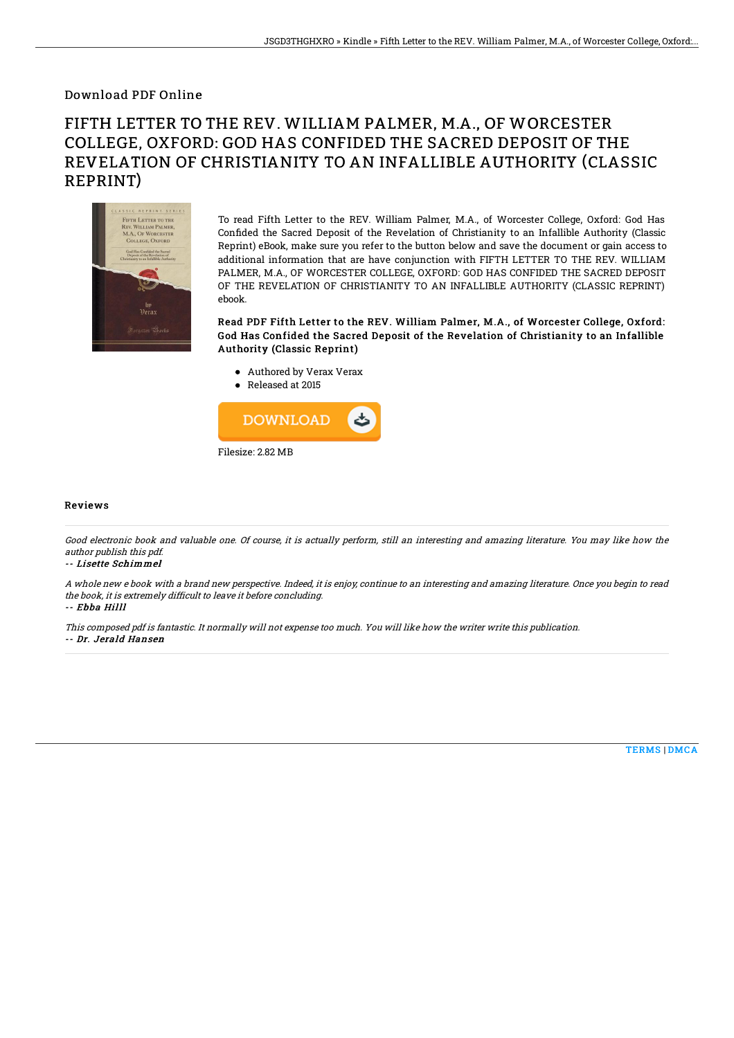### Download PDF Online

# FIFTH LETTER TO THE REV. WILLIAM PALMER, M.A., OF WORCESTER COLLEGE, OXFORD: GOD HAS CONFIDED THE SACRED DEPOSIT OF THE REVELATION OF CHRISTIANITY TO AN INFALLIBLE AUTHORITY (CLASSIC REPRINT)



To read Fifth Letter to the REV. William Palmer, M.A., of Worcester College, Oxford: God Has Confided the Sacred Deposit of the Revelation of Christianity to an Infallible Authority (Classic Reprint) eBook, make sure you refer to the button below and save the document or gain access to additional information that are have conjunction with FIFTH LETTER TO THE REV. WILLIAM PALMER, M.A., OF WORCESTER COLLEGE, OXFORD: GOD HAS CONFIDED THE SACRED DEPOSIT OF THE REVELATION OF CHRISTIANITY TO AN INFALLIBLE AUTHORITY (CLASSIC REPRINT) ebook.

Read PDF Fifth Letter to the REV. William Palmer, M.A., of Worcester College, Oxford: God Has Confided the Sacred Deposit of the Revelation of Christianity to an Infallible Authority (Classic Reprint)

- Authored by Verax Verax
- Released at 2015



#### Reviews

Good electronic book and valuable one. Of course, it is actually perform, still an interesting and amazing literature. You may like how the author publish this pdf.

#### -- Lisette Schimmel

A whole new <sup>e</sup> book with <sup>a</sup> brand new perspective. Indeed, it is enjoy, continue to an interesting and amazing literature. Once you begin to read the book, it is extremely difficult to leave it before concluding.

-- Ebba Hilll

This composed pdf is fantastic. It normally will not expense too much. You will like how the writer write this publication. -- Dr. Jerald Hansen